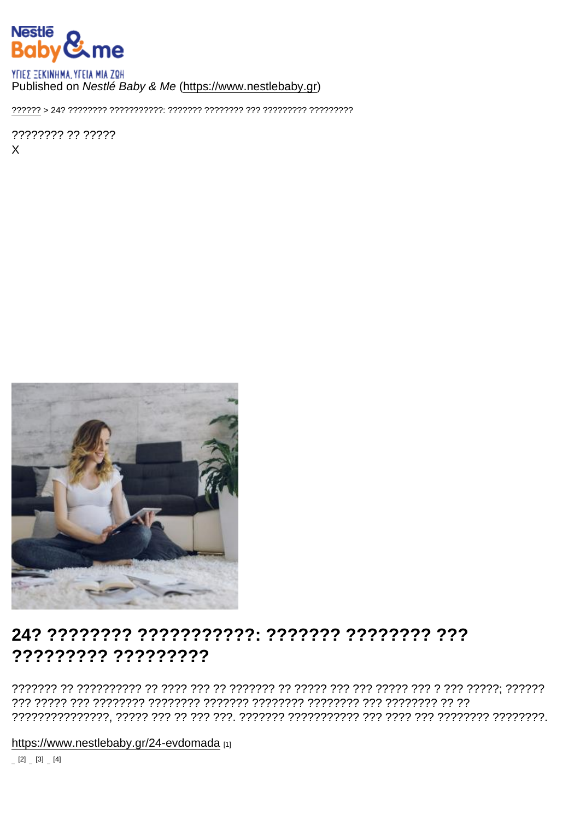### Published on Nestlé Baby & Me (https://www.nestlebaby.gr)

77777777 77 77777  $\mathsf{x}$ 

## ????????? ?????????

https://www.nestlebaby.gr/24-evdomada [1]

 $[2] \quad [3] \quad [4]$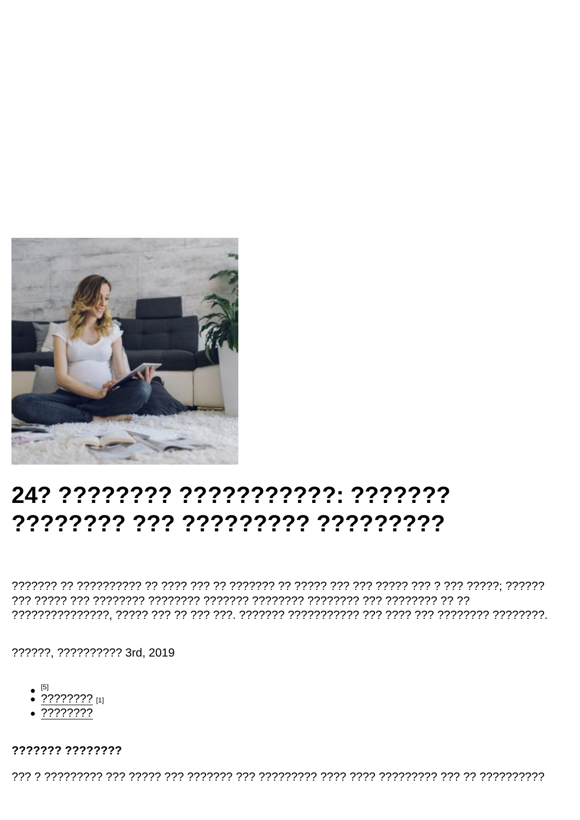# 24? ???????? ??????????? ???????

??????, ?????????? 3rd, 2019

- $\bullet$  [5]
- $\frac{1}{2}$  ????????? [1]
- $.77777777$

#### ??????? ????????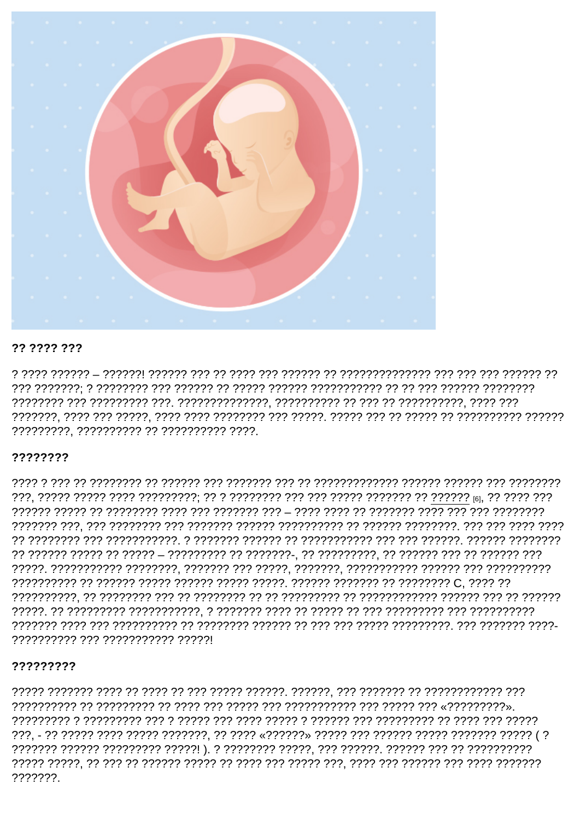77 7777 777

?????????, ?????????? ?? ?????????? ????.

#### ????????

-20070727 2022 2027 2027122727 202722727 202727 222 222 222 2324 2427 2027 2027 2027 2027 ?????????? ??? ??????????? ?????!

#### ?????????

רמרמר רמר רמר הר הרמרותי הרוב הרוב הרובי הר הרובר הרוב רמר הרובר ה רמר הרוברובר ה הרוברוביר ???. - ?? ????? ???? ????? ???????. ?? ???? «??????» ????? ??? ?????? ??????? ?????? ????? (? ???????